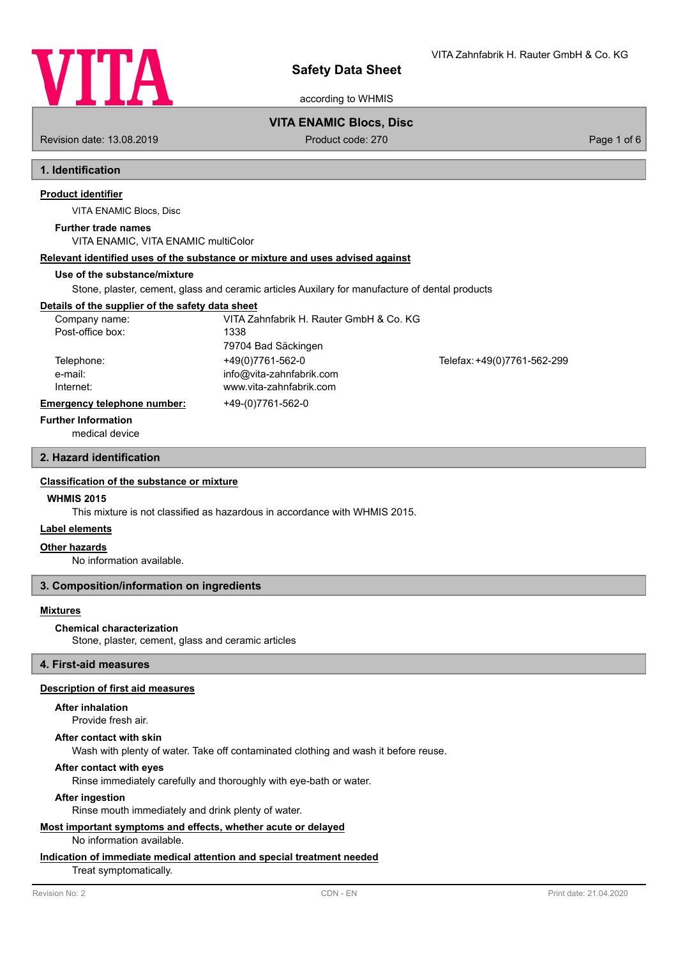

according to WHMIS

VITA Zahnfabrik H. Rauter GmbH & Co. KG

**VITA ENAMIC Blocs, Disc**

Revision date: 13.08.2019 **Product code: 270** Product code: 270 **Page 1 of 6** Page 1 of 6

# **1. Identification**

# **Product identifier**

VITA ENAMIC Blocs, Disc

### **Further trade names**

VITA ENAMIC, VITA ENAMIC multiColor

### **Relevant identified uses of the substance or mixture and uses advised against**

#### **Use of the substance/mixture**

Stone, plaster, cement, glass and ceramic articles Auxilary for manufacture of dental products

### **Details of the supplier of the safety data sheet**

| Company name:               | VITA Zahnfabrik H. Rauter GmbH & Co. KG |                             |
|-----------------------------|-----------------------------------------|-----------------------------|
| Post-office box:            | 1338                                    |                             |
|                             | 79704 Bad Säckingen                     |                             |
| Telephone:                  | +49(0)7761-562-0                        | Telefax: +49(0)7761-562-299 |
| e-mail:                     | info@vita-zahnfabrik.com                |                             |
| Internet:                   | www.vita-zahnfabrik.com                 |                             |
| Emergency telephone number: | +49-(0)7761-562-0                       |                             |

#### **Further Information**

medical device

# **2. Hazard identification**

# **Classification of the substance or mixture**

#### **WHMIS 2015**

This mixture is not classified as hazardous in accordance with WHMIS 2015.

### **Label elements**

# **Other hazards**

No information available.

# **3. Composition/information on ingredients**

# **Mixtures**

#### **Chemical characterization**

Stone, plaster, cement, glass and ceramic articles

# **4. First-aid measures**

#### **Description of first aid measures**

### **After inhalation**

Provide fresh air.

### **After contact with skin**

Wash with plenty of water. Take off contaminated clothing and wash it before reuse.

## **After contact with eyes**

Rinse immediately carefully and thoroughly with eye-bath or water.

#### **After ingestion**

Rinse mouth immediately and drink plenty of water.

# **Most important symptoms and effects, whether acute or delayed**

No information available.

# **Indication of immediate medical attention and special treatment needed**

Treat symptomatically.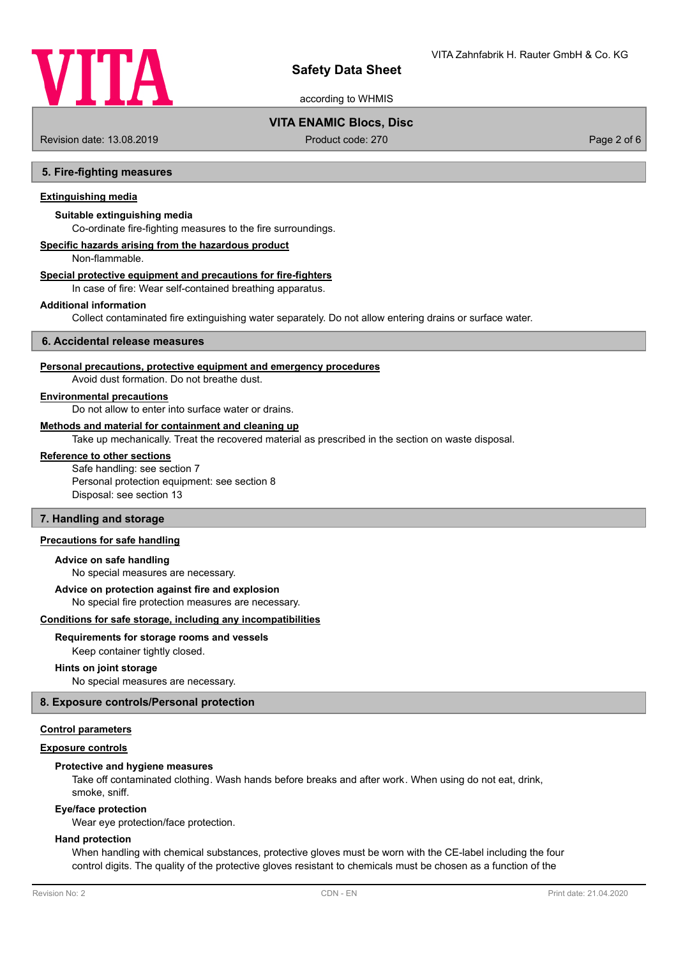

according to WHMIS

# **VITA ENAMIC Blocs, Disc**

Revision date: 13.08.2019 **Product code: 270** Product code: 270 **Page 2 of 6** Page 2 of 6

# **5. Fire-fighting measures**

# **Extinguishing media**

# **Suitable extinguishing media**

Co-ordinate fire-fighting measures to the fire surroundings.

# **Specific hazards arising from the hazardous product**

Non-flammable.

#### **Special protective equipment and precautions for fire-fighters**

In case of fire: Wear self-contained breathing apparatus.

#### **Additional information**

Collect contaminated fire extinguishing water separately. Do not allow entering drains or surface water.

### **6. Accidental release measures**

### **Personal precautions, protective equipment and emergency procedures**

Avoid dust formation. Do not breathe dust.

## **Environmental precautions**

Do not allow to enter into surface water or drains.

### **Methods and material for containment and cleaning up**

Take up mechanically. Treat the recovered material as prescribed in the section on waste disposal.

# **Reference to other sections**

Safe handling: see section 7 Personal protection equipment: see section 8 Disposal: see section 13

# **7. Handling and storage**

# **Precautions for safe handling**

### **Advice on safe handling**

No special measures are necessary.

## **Advice on protection against fire and explosion**

No special fire protection measures are necessary.

#### **Conditions for safe storage, including any incompatibilities**

### **Requirements for storage rooms and vessels**

Keep container tightly closed.

#### **Hints on joint storage**

No special measures are necessary.

# **8. Exposure controls/Personal protection**

### **Control parameters**

#### **Exposure controls**

### **Protective and hygiene measures**

Take off contaminated clothing. Wash hands before breaks and after work. When using do not eat, drink, smoke, sniff.

### **Eye/face protection**

Wear eye protection/face protection.

#### **Hand protection**

When handling with chemical substances, protective gloves must be worn with the CE-label including the four control digits. The quality of the protective gloves resistant to chemicals must be chosen as a function of the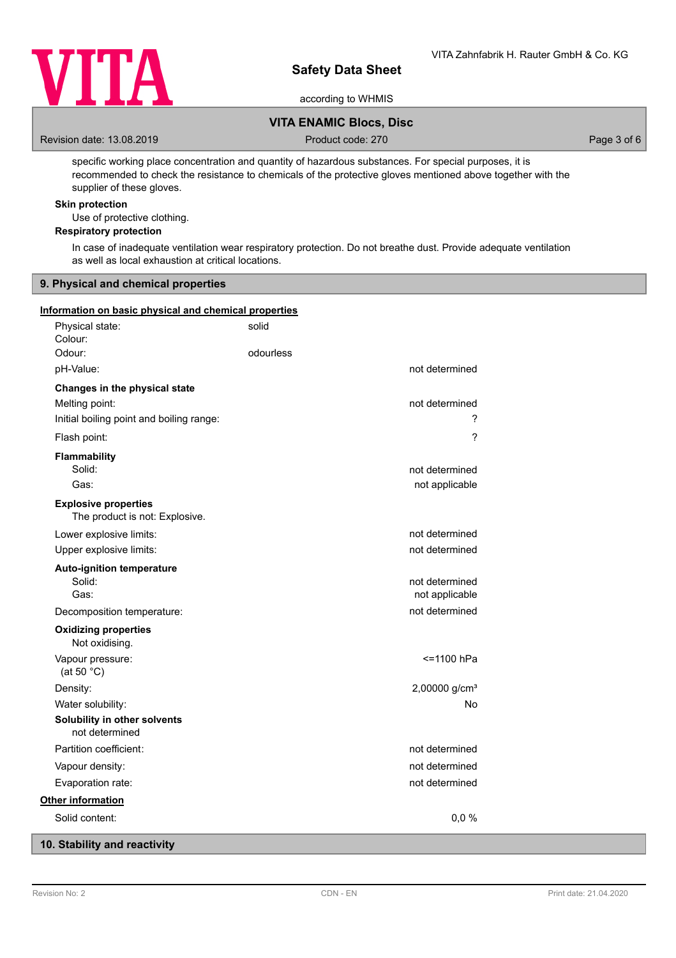

## according to WHMIS

# **VITA ENAMIC Blocs, Disc**

Revision date: 13.08.2019 **Product code: 270** Product code: 270 **Page 3 of 6** Page 3 of 6

specific working place concentration and quantity of hazardous substances. For special purposes, it is recommended to check the resistance to chemicals of the protective gloves mentioned above together with the supplier of these gloves.

# **Skin protection**

Use of protective clothing.

# **Respiratory protection**

In case of inadequate ventilation wear respiratory protection. Do not breathe dust. Provide adequate ventilation as well as local exhaustion at critical locations.

## **9. Physical and chemical properties**

### **Information on basic physical and chemical properties**

| Physical state:<br>Colour:                                    | solid     |                                  |
|---------------------------------------------------------------|-----------|----------------------------------|
| Odour:                                                        | odourless |                                  |
| pH-Value:                                                     |           | not determined                   |
| Changes in the physical state<br>Melting point:               |           | not determined                   |
| Initial boiling point and boiling range:                      |           | ?                                |
| Flash point:                                                  |           | ?                                |
| Flammability<br>Solid:<br>Gas:                                |           | not determined<br>not applicable |
| <b>Explosive properties</b><br>The product is not: Explosive. |           |                                  |
| Lower explosive limits:                                       |           | not determined                   |
| Upper explosive limits:                                       |           | not determined                   |
| <b>Auto-ignition temperature</b><br>Solid:<br>Gas:            |           | not determined<br>not applicable |
| Decomposition temperature:                                    |           | not determined                   |
| <b>Oxidizing properties</b><br>Not oxidising.                 |           |                                  |
| Vapour pressure:<br>(at 50 $^{\circ}$ C)                      |           | <=1100 hPa                       |
| Density:                                                      |           | 2,00000 g/cm <sup>3</sup>        |
| Water solubility:                                             |           | No                               |
| Solubility in other solvents<br>not determined                |           |                                  |
| Partition coefficient:                                        |           | not determined                   |
| Vapour density:                                               |           | not determined                   |
| Evaporation rate:                                             |           | not determined                   |
| Other information                                             |           |                                  |
| Solid content:                                                |           | 0,0%                             |

# **10. Stability and reactivity**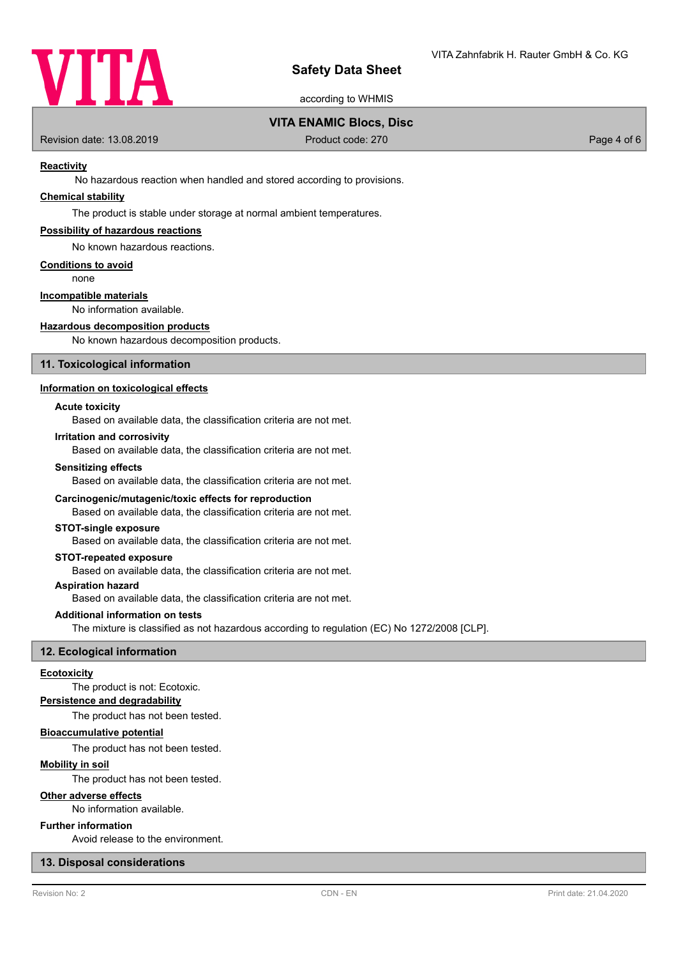

according to WHMIS

# **VITA ENAMIC Blocs, Disc**

Revision date: 13.08.2019 **Product code: 270** Product code: 270 **Page 4 of 6** Page 4 of 6

# **Reactivity**

No hazardous reaction when handled and stored according to provisions.

# **Chemical stability**

The product is stable under storage at normal ambient temperatures.

# **Possibility of hazardous reactions**

No known hazardous reactions.

#### **Conditions to avoid**

none

## **Incompatible materials**

No information available.

### **Hazardous decomposition products**

No known hazardous decomposition products.

## **11. Toxicological information**

### **Information on toxicological effects**

### **Acute toxicity**

Based on available data, the classification criteria are not met.

# **Irritation and corrosivity**

Based on available data, the classification criteria are not met.

#### **Sensitizing effects**

Based on available data, the classification criteria are not met.

#### **Carcinogenic/mutagenic/toxic effects for reproduction**

Based on available data, the classification criteria are not met.

# **STOT-single exposure**

Based on available data, the classification criteria are not met.

# **STOT-repeated exposure**

Based on available data, the classification criteria are not met.

# **Aspiration hazard**

Based on available data, the classification criteria are not met.

## **Additional information on tests**

The mixture is classified as not hazardous according to regulation (EC) No 1272/2008 [CLP].

### **12. Ecological information**

### **Ecotoxicity**

The product is not: Ecotoxic.

### **Persistence and degradability**

The product has not been tested.

### **Bioaccumulative potential**

The product has not been tested.

### **Mobility in soil**

The product has not been tested.

### **Other adverse effects**

No information available.

### **Further information**

Avoid release to the environment.

### **13. Disposal considerations**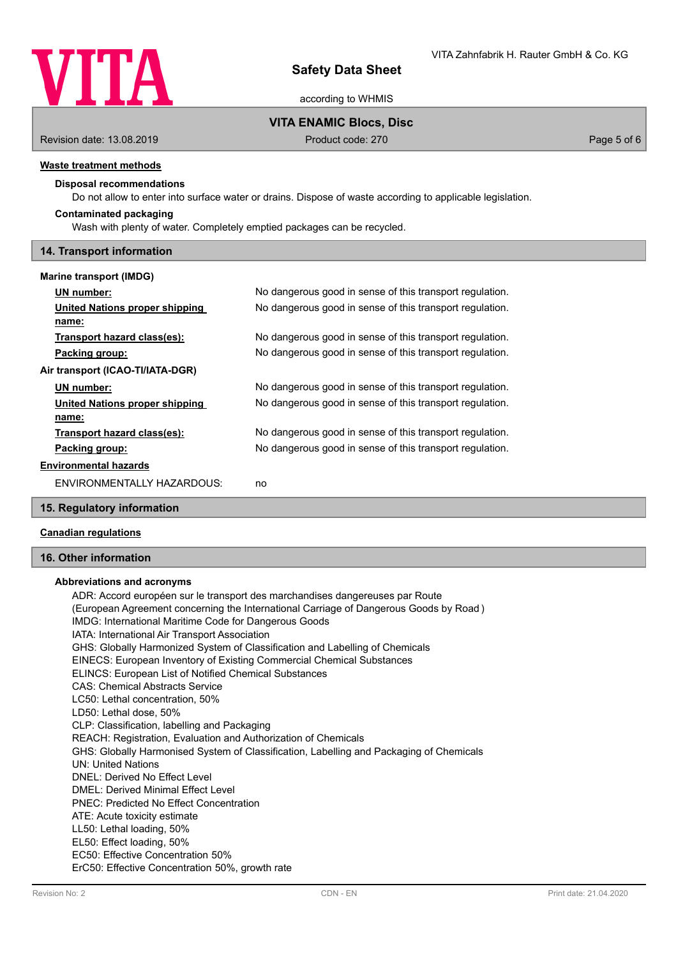

according to WHMIS

# **VITA ENAMIC Blocs, Disc**

Revision date: 13.08.2019 **Product code: 270** Product code: 270 **Page 5 of 6** Page 5 of 6

## **Waste treatment methods**

# **Disposal recommendations**

Do not allow to enter into surface water or drains. Dispose of waste according to applicable legislation.

## **Contaminated packaging**

Wash with plenty of water. Completely emptied packages can be recycled.

# **14. Transport information**

| <b>Marine transport (IMDG)</b>        |                                                          |
|---------------------------------------|----------------------------------------------------------|
| UN number:                            | No dangerous good in sense of this transport regulation. |
| <b>United Nations proper shipping</b> | No dangerous good in sense of this transport regulation. |
| name:                                 |                                                          |
| Transport hazard class(es):           | No dangerous good in sense of this transport regulation. |
| Packing group:                        | No dangerous good in sense of this transport regulation. |
| Air transport (ICAO-TI/IATA-DGR)      |                                                          |
| UN number:                            | No dangerous good in sense of this transport regulation. |
| United Nations proper shipping        | No dangerous good in sense of this transport regulation. |
| name:                                 |                                                          |
| Transport hazard class(es):           | No dangerous good in sense of this transport regulation. |
| Packing group:                        | No dangerous good in sense of this transport regulation. |
| <b>Environmental hazards</b>          |                                                          |
| <b>ENVIRONMENTALLY HAZARDOUS:</b>     | no                                                       |
| 15. Regulatory information            |                                                          |

### **Canadian regulations**

## **16. Other information**

# **Abbreviations and acronyms**

ADR: Accord européen sur le transport des marchandises dangereuses par Route (European Agreement concerning the International Carriage of Dangerous Goods by Road ) IMDG: International Maritime Code for Dangerous Goods IATA: International Air Transport Association GHS: Globally Harmonized System of Classification and Labelling of Chemicals EINECS: European Inventory of Existing Commercial Chemical Substances ELINCS: European List of Notified Chemical Substances CAS: Chemical Abstracts Service LC50: Lethal concentration, 50% LD50: Lethal dose, 50% CLP: Classification, labelling and Packaging REACH: Registration, Evaluation and Authorization of Chemicals GHS: Globally Harmonised System of Classification, Labelling and Packaging of Chemicals UN: United Nations DNEL: Derived No Effect Level DMEL: Derived Minimal Effect Level PNEC: Predicted No Effect Concentration ATE: Acute toxicity estimate LL50: Lethal loading, 50% EL50: Effect loading, 50% EC50: Effective Concentration 50% ErC50: Effective Concentration 50%, growth rate